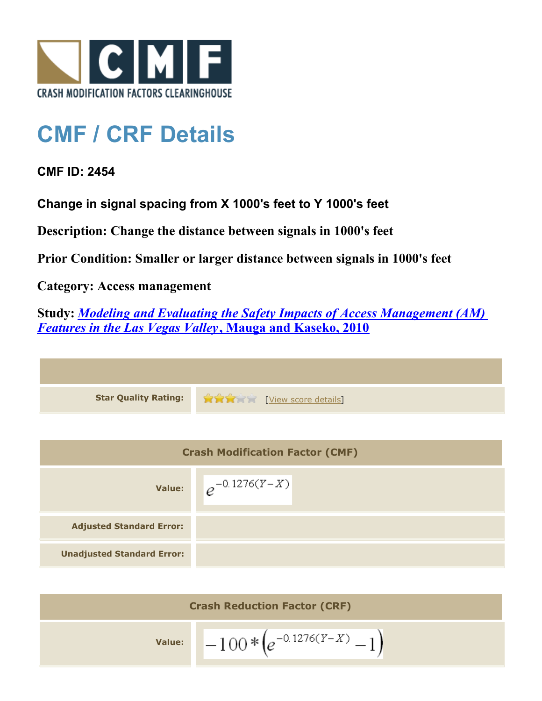

## **CMF / CRF Details**

## **CMF ID: 2454**

**Change in signal spacing from X 1000's feet to Y 1000's feet**

**Description: Change the distance between signals in 1000's feet**

**Prior Condition: Smaller or larger distance between signals in 1000's feet**

## **Category: Access management**

**Study:** *[Modeling and Evaluating the Safety Impacts of Access Management \(AM\)](http://www.cmfclearinghouse.org/study_detail.cfm?stid=165) [Features in the Las Vegas Valley](http://www.cmfclearinghouse.org/study_detail.cfm?stid=165)***[, Mauga and Kaseko, 2010](http://www.cmfclearinghouse.org/study_detail.cfm?stid=165)**

**Star Quality Rating:** [[View score details](http://www.cmfclearinghouse.org/score_details.cfm?facid=2454)]

| <b>Crash Modification Factor (CMF)</b> |                    |
|----------------------------------------|--------------------|
| <b>Value:</b>                          | $e^{-0.1276(Y-X)}$ |
| <b>Adjusted Standard Error:</b>        |                    |
| <b>Unadjusted Standard Error:</b>      |                    |

| <b>Crash Reduction Factor (CRF)</b> |                             |
|-------------------------------------|-----------------------------|
| <b>Value:</b>                       | $-100*(e^{-0.1276(Y-X)}-1)$ |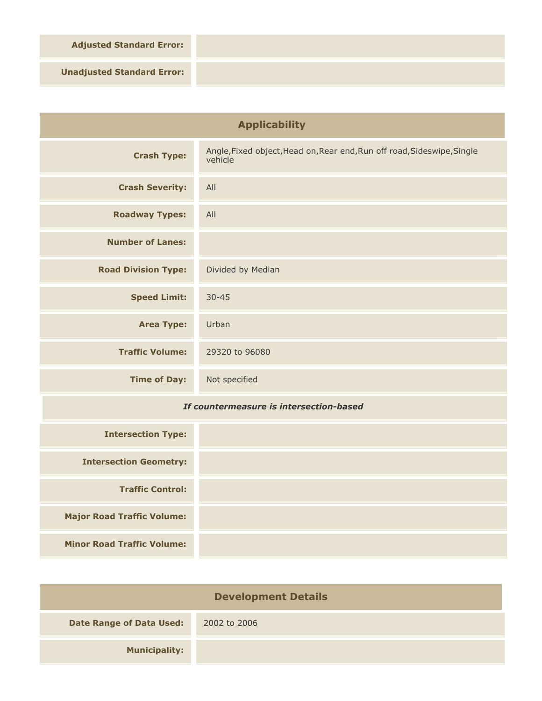**Adjusted Standard Error:**

**Unadjusted Standard Error:**

| <b>Applicability</b>                    |                                                                                    |
|-----------------------------------------|------------------------------------------------------------------------------------|
| <b>Crash Type:</b>                      | Angle, Fixed object, Head on, Rear end, Run off road, Sideswipe, Single<br>vehicle |
| <b>Crash Severity:</b>                  | All                                                                                |
| <b>Roadway Types:</b>                   | All                                                                                |
| <b>Number of Lanes:</b>                 |                                                                                    |
| <b>Road Division Type:</b>              | Divided by Median                                                                  |
| <b>Speed Limit:</b>                     | $30 - 45$                                                                          |
| <b>Area Type:</b>                       | Urban                                                                              |
| <b>Traffic Volume:</b>                  | 29320 to 96080                                                                     |
| <b>Time of Day:</b>                     | Not specified                                                                      |
| If countermeasure is intersection-based |                                                                                    |
| <b>Intersection Type:</b>               |                                                                                    |

| <b>Intersection Type:</b>         |  |
|-----------------------------------|--|
| <b>Intersection Geometry:</b>     |  |
| <b>Traffic Control:</b>           |  |
| <b>Major Road Traffic Volume:</b> |  |
| <b>Minor Road Traffic Volume:</b> |  |

| <b>Development Details</b>      |              |
|---------------------------------|--------------|
| <b>Date Range of Data Used:</b> | 2002 to 2006 |
| <b>Municipality:</b>            |              |